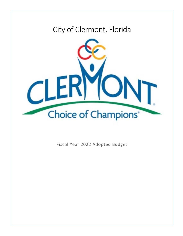# City of Clermont, Florida



Fiscal Year 2022 Adopted Budget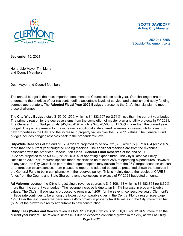

#### **SCOTT DAVIDOFF Acting City Manager**

352-241-7358 SDavidoff@clermontfl.org

September 15, 2021

Honorable Mayor Tim Murry and Council Members

Dear Mayor and Council Members:

The annual budget is the most important document the Council adopts each year. Our challenges are to understand the priorities of our residents, define acceptable levels of service, and establish and apply funding sources appropriately. The **Adopted Fiscal Year 2022 Budget** represents the City's financial plan to meet those challenges.

The **City-Wide Budget** totals \$155,901,556, which is \$4,333,607 (or 2.71%) less than the current year budget. The primary reason for the decrease stems from the completion of master plan and utility projects in FY 2021. The **General Fund Budget** totals \$45,426,419, which is \$4,520,568 (or 11.05%) more than the current year budget. The primary reason for the increase is additional state shared revenues, increased utility taxes from new properties in the City, and the increase in property values over the FY 2021 values. The General Fund budget includes bringing reserves back to the prepandemic level.

**City-Wide Reserves** at the end of FY 2022 are projected to be \$52,731,368, which is \$5,716,464 (or 12.16%) more than the current year budgeted ending reserves. The additional reserves are from the revenues associated with the American Rescue Plan funds. **General Fund Reserves** at the end of FY 2022 are projected to be \$9,442,786 or 25.01% of operating expenditures. The City's Reserve Policy Resolution 2020-53R requires specific funds' reserves to be at least 25% of operating expenditures. However, in any year, the City Council as part of the budget adoption may deviate from the 25% target based on unusual or unforeseen circumstances. I am pleased to report the adopted budget as presented shows the reserves in the General Fund to be in compliance with the reserves policy. This is mainly due to the receipt of CARES funds from the County and State Shared revenue collections in excess of FY 2021 budgeted amounts.

**Ad Valorem** revenue, the City's largest single revenue source, is \$15,406,113 which is \$1,183,863 (or 8.32%) more than the current year budget. The revenue increase is due to an 8.44% increase in property taxable values. The City's millage rate is proposed to remain at 4.2061 for the seventh consecutive year. Clermont's millage rate continues to be among the lowest of comparable cities in the Central Florida region (see page 199). Over the last 5 years we have seen a 45% growth in property taxable values in the City; more than half (53%) of the growth is directly attributable to new construction.

**Utility Fees (Water and Sewer)** revenues total \$16,198,000 which is \$1,856,000 (or 12.94%) more than the current year budget. The revenue increase is due to expected continued growth in the city, as well as utility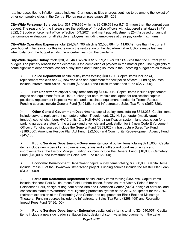rate increases tied to inflation based indexes. Clermont's utilities charges continue to be among the lowest of other comparable cities in the Central Florida region (see pages 201-208).

**City-Wide Personnel Services** total \$37,579,696 which is \$2,039,598 (or 5.74%) more than the current year budget. The reasons for the increase are the addition of (4) police officers with staggered start dates in FY 2022, (1) code enforcement officer effective 10/1/2021, and merit pay adjustments (2-4%) based on annual performance evaluations for all eligible employees, including employees at their pay grade maximums.

**City-Wide Operating Expenses** total \$24,324,796 which is \$2,556,884 (or 11.80%) more than the current year budget. The reason for this increase is the restoration of the departmental reductions made last year when balancing the budget amidst the uncertainties from the pandemic.

**City-Wide Capital Outlay** totals \$30,319,469, which is \$15,029,298 (or 33.14%) less than the current year budget. The primary reason for the decrease is the completion of projects in the master plan. The highlights of some significant departmental capital outlay items and funding sources in the upcoming budget are as follows:

 **Police Department** capital outlay items totaling \$509,200. Capital items include (4) replacement vehicles and (4) new vehicles and equipment for new police officers. Funding sources include Infrastructure Sales Tax Fund (\$232,000) and Police Impact Fees Fund (\$277,200).

 **Fire Department** capital outlay items totaling \$1,057,410. Capital items include replacement engine and equipment for truck 101, bunker gear sets, vehicle and laptop for reclassified captain positions, replacement inspector vehicle, and associated equipment needed for Trench Rescue. Funding sources include General Fund (\$104,581) and Infrastructure Sales Tax Fund (\$952,829).

 **Other General Government Departments** capital outlay items totaling \$543,233 Capital items include servers, replacement computers, other IT equipment, City Hall generator (mostly grant funded), council chambers HVAC units, City Hall HVAC air purification system, land acquisition for a parking garage, a statue for the art walk and a vehicle and work station for (1) new Code Enforcement Officer . Funding sources include the General Fund (\$289,625), Infrastructure Sales Tax Fund (\$186,000), American Rescue Plan Act Fund (\$22,500) and Community Redevelopment Agency Fund (\$45,108).

**EUPUBLIC Public Services Department – Governmental capital outlay items totaling \$215,000. Capital** items include new sidewalks, a columbarium, tennis and shuffleboard court resurfacings and improvements at the Historic Village. Funding sources include the General Fund (\$10,000), Cemetery Fund (\$40,000), and Infrastructure Sales Tax Fund (\$165,000).

 **Economic Development Department** capital outlay items totaling \$3,000,000. Capital items include Phase III of the Downtown Streetscape project. Funding sources include the Master Plan Loan (\$3,000,000).

 **Parks and Recreation Department** capital outlay items totaling \$454,569. Capital items include Hancock Park Multipurpose Field 1 rehabilitation, fitness court at Victory Point, Fiber at Palatlakaha Park, design of dog park at the Arts and Recreation Center (ARC), design of carousel and concession stand at Waterfront Park, lightning protection system at the ARC, equipment for the ARC, restroom expansion at the Performing Arts Center, and equipment for Black Box and Mainstage Theaters. Funding sources include the Infrastructure Sales Tax Fund (\$268,469) and Recreation Impact Fees Fund (\$186,100).

 **Public Services Department - Enterprise** capital outlay items totaling \$24,540,057. Capital items include a new side loader sanitation truck, design of stormwater improvements in the Lake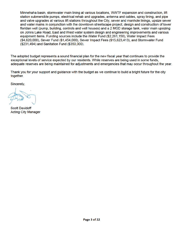Minnehaha basin, stormwater main lining at various locations, WWTF expansion and construction, lift station submersible pumps, electrical rehab and upgrades, antenna and cables, spray lining, and pipe and valve upgrades at various lift stations throughout the City, sewer and manhole linings, upsize sewer and water mains in conjunction with the downtown streetscape project, design and construction of lower floridan well (pump, building, controls and well houses) and a 2 MGD storage tank, water main upsizing on Johns Lake Road, East and West water system design and engineering improvements and various equipment items. Funding sources include the Water Fund (\$2,261,150), Water Impact Fees (\$4,620,000), Sewer Fund (\$1,454,000), Sewer Impact Fees (\$15,623,413), and Stormwater Fund (\$231,494) and Sanitation Fund (\$350,000).

The adopted budget represents a sound financial plan for the new fiscal year that continues to provide the exceptional levels of service expected by our residents. While reserves are being used in some funds, adequate reserves are being maintained for adjustments and emergencies that may occur throughout the year.

Thank you for your support and guidance with the budget as we continue to build a bright future for the city together.

Sincerely,

**Scott Davidoff Acting City Manager**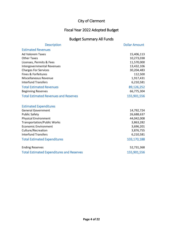#### Fiscal Year 2022 Adopted Budget

#### Budget Summary All Funds

| <b>Description</b>                               | <b>Dollar Amount</b> |
|--------------------------------------------------|----------------------|
| <b>Estimated Revenues</b>                        |                      |
| <b>Ad Valorem Taxes</b>                          | 15,406,113           |
| <b>Other Taxes</b>                               | 10,273,038           |
| Licenses, Permits & Fees                         | 11,570,000           |
| Intergovernmental Revenues                       | 13,432,106           |
| <b>Charges For Services</b>                      | 30,204,483           |
| Fines & Forfeitures                              | 112,500              |
| Miscellaneous Revenue                            | 1,917,431            |
| <b>Interfund Transfers</b>                       | 6,210,581            |
| <b>Total Estimated Revenues</b>                  | 89,126,252           |
| <b>Beginning Reserves</b>                        | 66,775,304           |
| <b>Total Estimated Revenues and Reserves</b>     | 155,901,556          |
|                                                  |                      |
| <b>Estimated Expenditures</b>                    |                      |
| <b>General Government</b>                        | 14,792,724           |
| <b>Public Safety</b>                             | 26,688,637           |
| <b>Physical Environment</b>                      | 44,042,008           |
| <b>Transportation/Public Works</b>               | 3,863,282            |
| <b>Economic Environment</b>                      | 3,696,201            |
| Culture/Recreation                               | 3,876,755            |
| <b>Interfund Transfers</b>                       | 6,210,581            |
| <b>Total Estimated Expenditures</b>              | 103,170,188          |
| <b>Ending Reserves</b>                           | 52,731,368           |
| <b>Total Estimated Expenditures and Reserves</b> | 155,901,556          |
|                                                  |                      |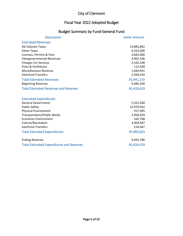### Fiscal Year 2022 Adopted Budget

### Budget Summary by Fund-General Fund

| <b>Description</b>                               | <b>Dollar Amount</b> |
|--------------------------------------------------|----------------------|
| <b>Estimated Revenues</b>                        |                      |
| <b>Ad Valorem Taxes</b>                          | 14,895,842           |
| <b>Other Taxes</b>                               | 6,322,000            |
| Licenses, Permits & Fees                         | 3,665,000            |
| <b>Intergovernmental Revenues</b>                | 4,902,106            |
| <b>Charges For Services</b>                      | 2,542,298            |
| <b>Fines &amp; Forfeitures</b>                   | 112,500              |
| Miscellaneous Revenue                            | 1,044,931            |
| <b>Interfund Transfers</b>                       | 2,456,542            |
| <b>Total Estimated Revenues</b>                  | 35,941,219           |
| <b>Beginning Reserves</b>                        | 9,485,200            |
| <b>Total Estimated Revenues and Reserves</b>     | 45,426,419           |
|                                                  |                      |
| <b>Estimated Expenditures</b>                    |                      |
| <b>General Government</b>                        | 5,352,560            |
| <b>Public Safety</b>                             | 22,970,932           |
| <b>Physical Environment</b>                      | 917,495              |
| <b>Transportation/Public Works</b>               | 2,956,924            |
| <b>Economic Environment</b>                      | 162,768              |
| Culture/Recreation                               | 3,404,487            |
| <b>Interfund Transfers</b>                       | 218,467              |
| <b>Total Estimated Expenditures</b>              | 35,983,633           |
| <b>Ending Reserves</b>                           | 9,442,786            |
| <b>Total Estimated Expenditures and Reserves</b> | 45,426,419           |
|                                                  |                      |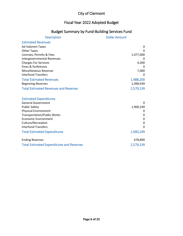#### Fiscal Year 2022 Adopted Budget

#### Budget Summary by Fund-Building Services Fund

| <b>Description</b>                                  | <b>Dollar Amount</b> |
|-----------------------------------------------------|----------------------|
| <b>Estimated Revenues</b>                           |                      |
| <b>Ad Valorem Taxes</b>                             | $\mathbf{0}$         |
| <b>Other Taxes</b>                                  | 0                    |
| Licenses, Permits & Fees                            | 1,477,000            |
| Intergovernmental Revenues                          | 0                    |
| <b>Charges For Services</b>                         | 4,200                |
| Fines & Forfeitures                                 |                      |
| Miscellaneous Revenue                               | 7,000                |
| <b>Interfund Transfers</b>                          | 0                    |
| <b>Total Estimated Revenues</b>                     | 1,488,200            |
| <b>Beginning Reserves</b>                           | 1,090,939            |
| <b>Total Estimated Revenues and Reserves</b>        | 2,579,139            |
|                                                     |                      |
| <b>Estimated Expenditures</b>                       |                      |
| <b>General Government</b>                           |                      |
| <b>Public Safety</b><br><b>Physical Environment</b> | 1,900,249<br>0       |
| <b>Transportation/Public Works</b>                  | 0                    |
| <b>Economic Environment</b>                         | 0                    |
| Culture/Recreation                                  | $\Omega$             |
| <b>Interfund Transfers</b>                          | 0                    |
| <b>Total Estimated Expenditures</b>                 | 1,900,249            |
|                                                     |                      |
| <b>Ending Reserves</b>                              | 678,890              |
| <b>Total Estimated Expenditures and Reserves</b>    | 2,579,139            |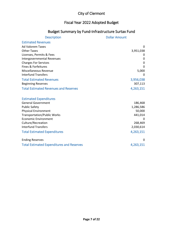#### Fiscal Year 2022 Adopted Budget

### Budget Summary by Fund-Infrastructure Surtax Fund

| <b>Description</b>                               | <b>Dollar Amount</b> |
|--------------------------------------------------|----------------------|
| <b>Estimated Revenues</b>                        |                      |
| <b>Ad Valorem Taxes</b>                          | $\Omega$             |
| <b>Other Taxes</b>                               | 3,951,038            |
| Licenses, Permits & Fees                         |                      |
| Intergovernmental Revenues                       | 0                    |
| <b>Charges For Services</b>                      | 0                    |
| Fines & Forfeitures                              | $\Omega$             |
| Miscellaneous Revenue                            | 5,000                |
| <b>Interfund Transfers</b>                       | $\Omega$             |
| <b>Total Estimated Revenues</b>                  | 3,956,038            |
| <b>Beginning Reserves</b>                        | 307,113              |
| <b>Total Estimated Revenues and Reserves</b>     | 4,263,151            |
|                                                  |                      |
| <b>Estimated Expenditures</b>                    |                      |
| <b>General Government</b>                        | 186,468              |
| <b>Public Safety</b>                             | 1,286,586            |
| <b>Physical Environment</b>                      | 50,000               |
| <b>Transportation/Public Works</b>               | 441,014              |
| <b>Economic Environment</b>                      | 0                    |
| Culture/Recreation                               | 268,469              |
| <b>Interfund Transfers</b>                       | 2,030,614            |
| <b>Total Estimated Expenditures</b>              | 4,263,151            |
| <b>Ending Reserves</b>                           | 0                    |
| <b>Total Estimated Expenditures and Reserves</b> | 4,263,151            |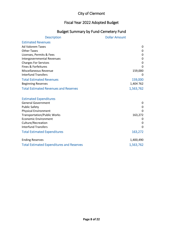#### Fiscal Year 2022 Adopted Budget

#### Budget Summary by Fund-Cemetery Fund

| <b>Description</b>                               | <b>Dollar Amount</b> |
|--------------------------------------------------|----------------------|
| <b>Estimated Revenues</b>                        |                      |
| <b>Ad Valorem Taxes</b>                          | 0                    |
| <b>Other Taxes</b>                               | 0                    |
| Licenses, Permits & Fees                         | 0                    |
| Intergovernmental Revenues                       | 0                    |
| <b>Charges For Services</b>                      | 0                    |
| <b>Fines &amp; Forfeitures</b>                   | $\Omega$             |
| Miscellaneous Revenue                            | 159,000              |
| <b>Interfund Transfers</b>                       | 0                    |
| <b>Total Estimated Revenues</b>                  | 159,000              |
| <b>Beginning Reserves</b>                        | 1,404 762            |
| <b>Total Estimated Revenues and Reserves</b>     | 1,563,762            |
|                                                  |                      |
| <b>Estimated Expenditures</b>                    |                      |
| <b>General Government</b>                        | 0                    |
| <b>Public Safety</b>                             | 0                    |
| <b>Physical Environment</b>                      | 0                    |
| <b>Transportation/Public Works</b>               | 163,272              |
| <b>Economic Environment</b>                      | 0                    |
| Culture/Recreation                               | 0                    |
| <b>Interfund Transfers</b>                       | $\Omega$             |
| <b>Total Estimated Expenditures</b>              | 163,272              |
| <b>Ending Reserves</b>                           | 1,400,490            |
| <b>Total Estimated Expenditures and Reserves</b> | 1,563,762            |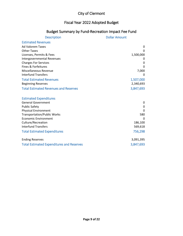#### Fiscal Year 2022 Adopted Budget

### Budget Summary by Fund-Recreation Impact Fee Fund

| <b>Description</b>                               | <b>Dollar Amount</b> |
|--------------------------------------------------|----------------------|
| <b>Estimated Revenues</b>                        |                      |
| <b>Ad Valorem Taxes</b>                          | $\mathbf{0}$         |
| <b>Other Taxes</b>                               | 0                    |
| Licenses, Permits & Fees                         | 1,500,000            |
| Intergovernmental Revenues                       | O                    |
| <b>Charges For Services</b>                      | 0                    |
| <b>Fines &amp; Forfeitures</b>                   | $\Omega$             |
| Miscellaneous Revenue                            | 7,000                |
| <b>Interfund Transfers</b>                       | 0                    |
| <b>Total Estimated Revenues</b>                  | 1,507,000            |
| <b>Beginning Reserves</b>                        | 2,340,693            |
| <b>Total Estimated Revenues and Reserves</b>     | 3,847,693            |
| <b>Estimated Expenditures</b>                    |                      |
| <b>General Government</b>                        | 0                    |
| <b>Public Safety</b>                             | 0                    |
| <b>Physical Environment</b>                      | 0                    |
| <b>Transportation/Public Works</b>               | 580                  |
| <b>Economic Environment</b>                      | $\Omega$             |
| Culture/Recreation                               | 186,100              |
| <b>Interfund Transfers</b>                       | 569,618              |
| <b>Total Estimated Expenditures</b>              | 756,298              |
| <b>Ending Reserves</b>                           | 3,091,395            |
| <b>Total Estimated Expenditures and Reserves</b> | 3,847,693            |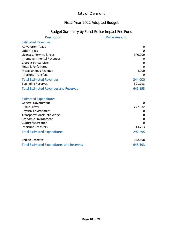### Fiscal Year 2022 Adopted Budget

### Budget Summary by Fund-Police Impact Fee Fund

| <b>Description</b>                               | <b>Dollar Amount</b> |
|--------------------------------------------------|----------------------|
| <b>Estimated Revenues</b>                        |                      |
| <b>Ad Valorem Taxes</b>                          | 0                    |
| <b>Other Taxes</b>                               | $\Omega$             |
| Licenses, Permits & Fees                         | 340,000              |
| Intergovernmental Revenues                       | 0                    |
| <b>Charges For Services</b>                      | 0                    |
| <b>Fines &amp; Forfeitures</b>                   | 0                    |
| Miscellaneous Revenue                            | 4,000                |
| <b>Interfund Transfers</b>                       | 0                    |
| <b>Total Estimated Revenues</b>                  | 344,000              |
| <b>Beginning Reserves</b>                        | 301,193              |
| <b>Total Estimated Revenues and Reserves</b>     | 645,193              |
|                                                  |                      |
| <b>Estimated Expenditures</b>                    |                      |
| <b>General Government</b>                        | 0                    |
| <b>Public Safety</b>                             | 277,532              |
| <b>Physical Environment</b>                      | 0                    |
| <b>Transportation/Public Works</b>               | 0                    |
| <b>Economic Environment</b>                      | $\mathbf 0$          |
| Culture/Recreation                               | $\Omega$             |
| <b>Interfund Transfers</b>                       | 14,763               |
| <b>Total Estimated Expenditures</b>              | 292,295              |
| <b>Ending Reserves</b>                           | 352,898              |
| <b>Total Estimated Expenditures and Reserves</b> | 645,193              |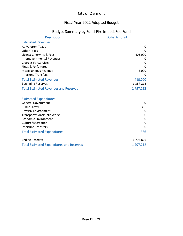### Fiscal Year 2022 Adopted Budget

#### Budget Summary by Fund-Fire Impact Fee Fund

| <b>Description</b>                               | <b>Dollar Amount</b> |
|--------------------------------------------------|----------------------|
| <b>Estimated Revenues</b>                        |                      |
| <b>Ad Valorem Taxes</b>                          | 0                    |
| <b>Other Taxes</b>                               | $\Omega$             |
| Licenses, Permits & Fees                         | 405,000              |
| Intergovernmental Revenues                       | 0                    |
| <b>Charges For Services</b>                      | 0                    |
| Fines & Forfeitures                              | 0                    |
| <b>Miscellaneous Revenue</b>                     | 5,000                |
| <b>Interfund Transfers</b>                       | 0                    |
| <b>Total Estimated Revenues</b>                  | 410,000              |
| <b>Beginning Reserves</b>                        | 1,387,212            |
| <b>Total Estimated Revenues and Reserves</b>     | 1,797,212            |
|                                                  |                      |
| <b>Estimated Expenditures</b>                    |                      |
| <b>General Government</b>                        | 0                    |
| <b>Public Safety</b>                             | 386                  |
| <b>Physical Environment</b>                      | 0                    |
| <b>Transportation/Public Works</b>               | 0                    |
| <b>Economic Environment</b>                      | 0                    |
| Culture/Recreation                               | 0                    |
| <b>Interfund Transfers</b>                       | 0                    |
| <b>Total Estimated Expenditures</b>              | 386                  |
| <b>Ending Reserves</b>                           | 1,796,826            |
| <b>Total Estimated Expenditures and Reserves</b> | 1,797,212            |
|                                                  |                      |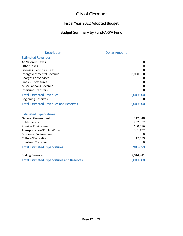#### Fiscal Year 2022 Adopted Budget

### Budget Summary by Fund-ARPA Fund

| <b>Description</b>                               | <b>Dollar Amount</b> |
|--------------------------------------------------|----------------------|
| <b>Estimated Revenues</b>                        |                      |
| <b>Ad Valorem Taxes</b>                          | 0                    |
| <b>Other Taxes</b>                               | 0                    |
| Licenses, Permits & Fees                         | $\Omega$             |
| Intergovernmental Revenues                       | 8,000,000            |
| <b>Charges For Services</b>                      | 0                    |
| Fines & Forfeitures                              | 0                    |
| <b>Miscellaneous Revenue</b>                     | 0                    |
| <b>Interfund Transfers</b>                       | 0                    |
| <b>Total Estimated Revenues</b>                  | 8,000,000            |
| <b>Beginning Reserves</b>                        | 0                    |
| <b>Total Estimated Revenues and Reserves</b>     | 8,000,000            |
| <b>Estimated Expenditures</b>                    |                      |
| <b>General Government</b>                        | 312,340              |
| <b>Public Safety</b>                             | 252,952              |
| <b>Physical Environment</b>                      | 100,576              |
| <b>Transportation/Public Works</b>               | 301,492              |
| <b>Economic Environment</b>                      | 0                    |
| Culture/Recreation                               | 17,699               |
| <b>Interfund Transfers</b>                       | 0                    |
| <b>Total Estimated Expenditures</b>              | 985,059              |
| <b>Ending Reserves</b>                           | 7,014,941            |
| <b>Total Estimated Expenditures and Reserves</b> | 8,000,000            |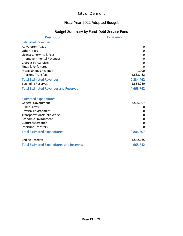### Fiscal Year 2022 Adopted Budget

### Budget Summary by Fund-Debt Service Fund

| <b>Description</b>                               | <b>Dollar Amount</b> |
|--------------------------------------------------|----------------------|
| <b>Estimated Revenues</b>                        |                      |
| <b>Ad Valorem Taxes</b>                          | $\mathbf{0}$         |
| <b>Other Taxes</b>                               | 0                    |
| Licenses, Permits & Fees                         | 0                    |
| Intergovernmental Revenues                       | 0                    |
| <b>Charges For Services</b>                      | 0                    |
| Fines & Forfeitures                              | $\Omega$             |
| Miscellaneous Revenue                            | 1,000                |
| <b>Interfund Transfers</b>                       | 2,833,462            |
| <b>Total Estimated Revenues</b>                  | 2,834,462            |
| <b>Beginning Reserves</b>                        | 1,834,280            |
| <b>Total Estimated Revenues and Reserves</b>     | 4,668,742            |
|                                                  |                      |
| <b>Estimated Expenditures</b>                    |                      |
| <b>General Government</b>                        | 2,806,507            |
| <b>Public Safety</b>                             | 0                    |
| <b>Physical Environment</b>                      | 0                    |
| <b>Transportation/Public Works</b>               | 0                    |
| <b>Economic Environment</b>                      | 0                    |
| Culture/Recreation                               | 0                    |
| <b>Interfund Transfers</b>                       | $\Omega$             |
| <b>Total Estimated Expenditures</b>              | 2,806,507            |
| <b>Ending Reserves</b>                           | 1,862,235            |
| <b>Total Estimated Expenditures and Reserves</b> | 4,668,742            |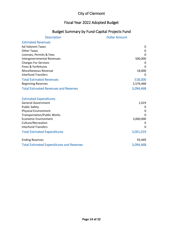#### Fiscal Year 2022 Adopted Budget

## Budget Summary by Fund-Capital Projects Fund

| <b>Description</b>                               | <b>Dollar Amount</b> |
|--------------------------------------------------|----------------------|
| <b>Estimated Revenues</b>                        |                      |
| <b>Ad Valorem Taxes</b>                          | 0                    |
| <b>Other Taxes</b>                               | $\mathbf{0}$         |
| Licenses, Permits & Fees                         | $\Omega$             |
| Intergovernmental Revenues                       | 500,000              |
| <b>Charges For Services</b>                      | 0                    |
| Fines & Forfeitures                              | 0                    |
| Miscellaneous Revenue                            | 18,000               |
| <b>Interfund Transfers</b>                       | $\Omega$             |
| <b>Total Estimated Revenues</b>                  | 518,000              |
| <b>Beginning Reserves</b>                        | 2,576,468            |
| <b>Total Estimated Revenues and Reserves</b>     | 3,094,468            |
|                                                  |                      |
| <b>Estimated Expenditures</b>                    |                      |
| <b>General Government</b>                        | 1,019                |
| <b>Public Safety</b>                             | 0                    |
| <b>Physical Environment</b>                      | 0                    |
| <b>Transportation/Public Works</b>               | 0                    |
| <b>Economic Environment</b>                      | 3,000,000            |
| Culture/Recreation                               | 0                    |
| <b>Interfund Transfers</b>                       | 0                    |
| <b>Total Estimated Expenditures</b>              | 3,001,019            |
| <b>Ending Reserves</b>                           | 93,449               |
| <b>Total Estimated Expenditures and Reserves</b> | 3,094,468            |
|                                                  |                      |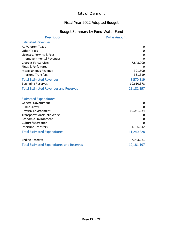#### Fiscal Year 2022 Adopted Budget

#### Budget Summary by Fund-Water Fund

| <b>Description</b>                                 | <b>Dollar Amount</b> |
|----------------------------------------------------|----------------------|
| <b>Estimated Revenues</b>                          |                      |
| <b>Ad Valorem Taxes</b>                            | 0                    |
| <b>Other Taxes</b>                                 | 0                    |
| Licenses, Permits & Fees                           | $\mathbf 0$          |
| Intergovernmental Revenues                         | $\Omega$             |
| <b>Charges For Services</b><br>Fines & Forfeitures | 7,848,000            |
| <b>Miscellaneous Revenue</b>                       | 391,500              |
| <b>Interfund Transfers</b>                         | 331,319              |
| <b>Total Estimated Revenues</b>                    | 8,570,819            |
| <b>Beginning Reserves</b>                          | 10,610,378           |
| <b>Total Estimated Revenues and Reserves</b>       | 19,181,197           |
|                                                    |                      |
| <b>Estimated Expenditures</b>                      |                      |
| <b>General Government</b>                          | 0                    |
| <b>Public Safety</b>                               | 0                    |
| <b>Physical Environment</b>                        | 10,041,634           |
| <b>Transportation/Public Works</b>                 |                      |
| <b>Economic Environment</b>                        | 0<br>$\Omega$        |
| Culture/Recreation<br><b>Interfund Transfers</b>   | 1,196,542            |
|                                                    |                      |
| <b>Total Estimated Expenditures</b>                | 11,240,228           |
| <b>Ending Reserves</b>                             | 7,943,021            |
| <b>Total Estimated Expenditures and Reserves</b>   | 19,181,197           |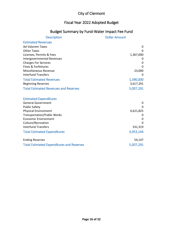#### Fiscal Year 2022 Adopted Budget

#### Budget Summary by Fund-Water Impact Fee Fund

| <b>Description</b>                               | <b>Dollar Amount</b> |
|--------------------------------------------------|----------------------|
| <b>Estimated Revenues</b>                        |                      |
| <b>Ad Valorem Taxes</b>                          | 0                    |
| <b>Other Taxes</b>                               | $\Omega$             |
| Licenses, Permits & Fees                         | 1,367,000            |
| Intergovernmental Revenues                       | O                    |
| <b>Charges For Services</b>                      | 0                    |
| Fines & Forfeitures                              | 0                    |
| Miscellaneous Revenue                            | 23,000               |
| <b>Interfund Transfers</b>                       | $\Omega$             |
| <b>Total Estimated Revenues</b>                  | 1,390,000            |
| <b>Beginning Reserves</b>                        | 3,617,291            |
| <b>Total Estimated Revenues and Reserves</b>     | 5,007,291            |
|                                                  |                      |
| <b>Estimated Expenditures</b>                    |                      |
| <b>General Government</b>                        | 0                    |
| <b>Public Safety</b>                             | $\Omega$             |
| <b>Physical Environment</b>                      | 4,621,825            |
| <b>Transportation/Public Works</b>               | 0                    |
| <b>Economic Environment</b>                      | 0                    |
| Culture/Recreation                               | $\Omega$             |
| <b>Interfund Transfers</b>                       | 331,319              |
| <b>Total Estimated Expenditures</b>              | 4,953,144            |
| <b>Ending Reserves</b>                           | 54,147               |
| <b>Total Estimated Expenditures and Reserves</b> | 5,007,291            |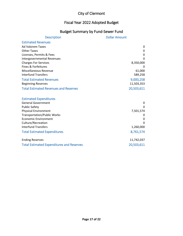### Fiscal Year 2022 Adopted Budget

#### Budget Summary by Fund-Sewer Fund

| <b>Description</b>                               | <b>Dollar Amount</b> |
|--------------------------------------------------|----------------------|
| <b>Estimated Revenues</b>                        |                      |
| <b>Ad Valorem Taxes</b>                          | 0                    |
| <b>Other Taxes</b>                               | 0                    |
| Licenses, Permits & Fees                         | $\mathbf{0}$         |
| <b>Intergovernmental Revenues</b>                | 0                    |
| <b>Charges For Services</b>                      | 8,350,000            |
| Fines & Forfeitures                              | 0                    |
| Miscellaneous Revenue                            | 61,000               |
| <b>Interfund Transfers</b>                       | 589,258              |
| <b>Total Estimated Revenues</b>                  | 9,000,258            |
| <b>Beginning Reserves</b>                        | 11,503,353           |
| <b>Total Estimated Revenues and Reserves</b>     | 20,503,611           |
|                                                  |                      |
| <b>Estimated Expenditures</b>                    |                      |
| <b>General Government</b>                        | 0                    |
| <b>Public Safety</b>                             | $\Omega$             |
| <b>Physical Environment</b>                      | 7,501,574            |
| <b>Transportation/Public Works</b>               | 0                    |
| <b>Economic Environment</b>                      | 0                    |
| Culture/Recreation                               | 0                    |
| <b>Interfund Transfers</b>                       | 1,260,000            |
| <b>Total Estimated Expenditures</b>              | 8,761,574            |
| <b>Ending Reserves</b>                           | 11,742,037           |
| <b>Total Estimated Expenditures and Reserves</b> | 20,503,611           |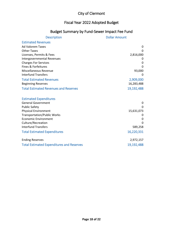# Fiscal Year 2022 Adopted Budget

# Budget Summary by Fund-Sewer Impact Fee Fund

| <b>Description</b>                               | <b>Dollar Amount</b> |
|--------------------------------------------------|----------------------|
| <b>Estimated Revenues</b>                        |                      |
| <b>Ad Valorem Taxes</b>                          | 0                    |
| <b>Other Taxes</b>                               | $\Omega$             |
| Licenses, Permits & Fees                         | 2,816,000            |
| Intergovernmental Revenues                       | O                    |
| <b>Charges For Services</b>                      | 0                    |
| Fines & Forfeitures                              | 0                    |
| Miscellaneous Revenue                            | 93,000               |
| <b>Interfund Transfers</b>                       | 0                    |
| <b>Total Estimated Revenues</b>                  | 2,909,000            |
| <b>Beginning Reserves</b>                        | 16,283,488           |
| <b>Total Estimated Revenues and Reserves</b>     | 19,192,488           |
|                                                  |                      |
| <b>Estimated Expenditures</b>                    |                      |
| <b>General Government</b>                        | 0                    |
| <b>Public Safety</b>                             | 0                    |
| <b>Physical Environment</b>                      | 15,631,073           |
| <b>Transportation/Public Works</b>               | O                    |
| <b>Economic Environment</b>                      | 0                    |
| Culture/Recreation                               | $\Omega$             |
| <b>Interfund Transfers</b>                       | 589,258              |
| <b>Total Estimated Expenditures</b>              | 16,220,331           |
| <b>Ending Reserves</b>                           | 2,972,157            |
| <b>Total Estimated Expenditures and Reserves</b> | 19,192,488           |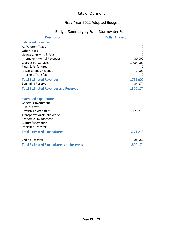### Fiscal Year 2022 Adopted Budget

### Budget Summary by Fund-Stormwater Fund

| <b>Description</b>                               | <b>Dollar Amount</b> |
|--------------------------------------------------|----------------------|
| <b>Estimated Revenues</b>                        |                      |
| <b>Ad Valorem Taxes</b>                          | 0                    |
| <b>Other Taxes</b>                               | 0                    |
| Licenses, Permits & Fees                         | 0                    |
| Intergovernmental Revenues                       | 30,000               |
| <b>Charges For Services</b>                      | 1,734,000            |
| Fines & Forfeitures                              |                      |
| <b>Miscellaneous Revenue</b>                     | 2,000                |
| <b>Interfund Transfers</b>                       | 0                    |
| <b>Total Estimated Revenues</b>                  | 1,766,000            |
| <b>Beginning Reserves</b>                        | 34,174               |
| <b>Total Estimated Revenues and Reserves</b>     | 1,800,174            |
|                                                  |                      |
| <b>Estimated Expenditures</b>                    |                      |
| <b>General Government</b>                        | 0                    |
| <b>Public Safety</b>                             | 0                    |
| <b>Physical Environment</b>                      | 1,771,218            |
| <b>Transportation/Public Works</b>               | O                    |
| <b>Economic Environment</b>                      | 0                    |
| Culture/Recreation                               | 0                    |
| <b>Interfund Transfers</b>                       | 0                    |
| <b>Total Estimated Expenditures</b>              | 1,771,218            |
| <b>Ending Reserves</b>                           | 28,956               |
| <b>Total Estimated Expenditures and Reserves</b> | 1,800,174            |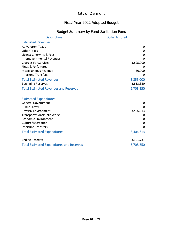### Fiscal Year 2022 Adopted Budget

### Budget Summary by Fund-Sanitation Fund

| <b>Description</b>                               | <b>Dollar Amount</b> |
|--------------------------------------------------|----------------------|
| <b>Estimated Revenues</b>                        |                      |
| <b>Ad Valorem Taxes</b>                          | 0                    |
| <b>Other Taxes</b>                               | 0                    |
| Licenses, Permits & Fees                         | 0                    |
| Intergovernmental Revenues                       | $\Omega$             |
| <b>Charges For Services</b>                      | 3,825,000            |
| Fines & Forfeitures                              | O                    |
| Miscellaneous Revenue                            | 30,000               |
| <b>Interfund Transfers</b>                       | 0                    |
| <b>Total Estimated Revenues</b>                  | 3,855,000            |
| <b>Beginning Reserves</b>                        | 2,853,350            |
| <b>Total Estimated Revenues and Reserves</b>     | 6,708,350            |
|                                                  |                      |
| <b>Estimated Expenditures</b>                    |                      |
| <b>General Government</b>                        | 0                    |
| <b>Public Safety</b>                             | $\Omega$             |
| <b>Physical Environment</b>                      | 3,406,613            |
| <b>Transportation/Public Works</b>               | 0                    |
| <b>Economic Environment</b>                      | 0                    |
| Culture/Recreation                               | 0                    |
| <b>Interfund Transfers</b>                       | $\Omega$             |
| <b>Total Estimated Expenditures</b>              | 3,406,613            |
| <b>Ending Reserves</b>                           | 3,301,737            |
| <b>Total Estimated Expenditures and Reserves</b> | 6,708,350            |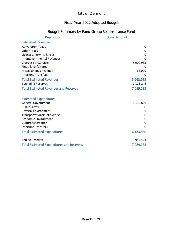#### Fiscal Year 2022 Adopted Budget

### Budget Summary by Fund-Group Self Insurance Fund

| <b>Description</b>                               | <b>Dollar Amount</b> |
|--------------------------------------------------|----------------------|
| <b>Estimated Revenues</b>                        |                      |
| <b>Ad Valorem Taxes</b>                          | 0                    |
| <b>Other Taxes</b>                               | 0                    |
| Licenses, Permits & Fees                         | 0                    |
| Intergovernmental Revenues                       | $\Omega$             |
| <b>Charges For Services</b>                      | 5,900,985            |
| Fines & Forfeitures                              |                      |
| Miscellaneous Revenue                            | 63,000               |
| <b>Interfund Transfers</b>                       | 0                    |
| <b>Total Estimated Revenues</b>                  | 5,963,985            |
| <b>Beginning Reserves</b>                        | 1,125,248            |
| <b>Total Estimated Revenues and Reserves</b>     | 7,089,233            |
|                                                  |                      |
| <b>Estimated Expenditures</b>                    |                      |
| <b>General Government</b>                        | 6,133,830            |
| <b>Public Safety</b>                             | 0                    |
| <b>Physical Environment</b>                      | 0                    |
| <b>Transportation/Public Works</b>               | 0                    |
| <b>Economic Environment</b>                      | 0                    |
| Culture/Recreation                               | 0                    |
| <b>Interfund Transfers</b>                       | $\Omega$             |
| <b>Total Estimated Expenditures</b>              | 6,133,830            |
| <b>Ending Reserves</b>                           | 955,403              |
| <b>Total Estimated Expenditures and Reserves</b> | 7,089,233            |